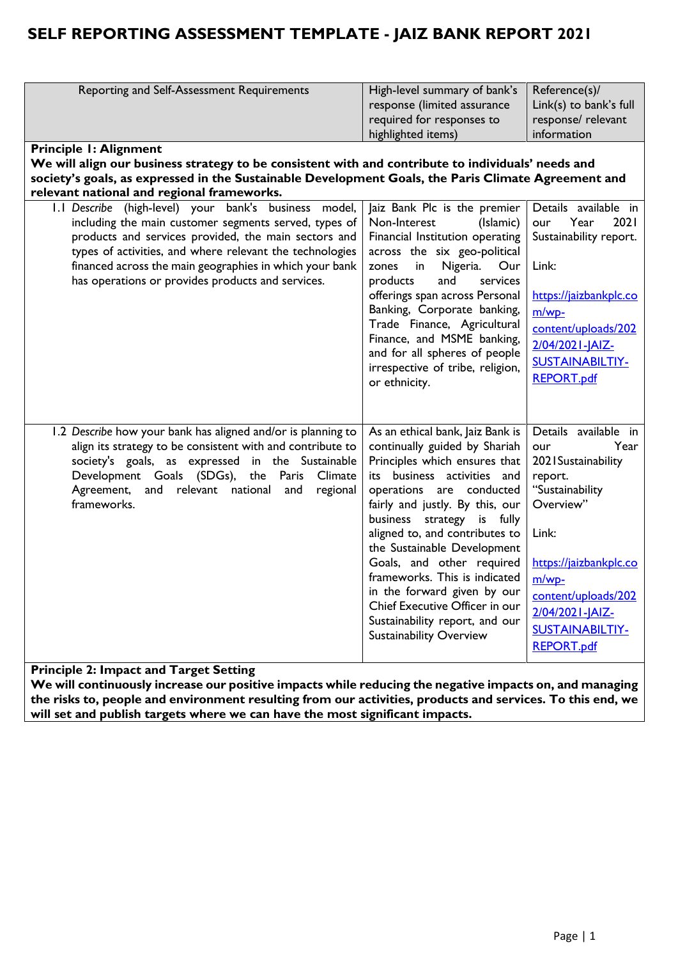## **SELF REPORTING ASSESSMENT TEMPLATE - JAIZ BANK REPORT 2021**

| Reporting and Self-Assessment Requirements                                                          | High-level summary of bank's<br>response (limited assurance<br>required for responses to<br>highlighted items) | Reference(s)/<br>Link(s) to bank's full<br>response/ relevant<br>information |
|-----------------------------------------------------------------------------------------------------|----------------------------------------------------------------------------------------------------------------|------------------------------------------------------------------------------|
|                                                                                                     |                                                                                                                |                                                                              |
| <b>Principle I: Alignment</b>                                                                       |                                                                                                                |                                                                              |
| We will align our business strategy to be consistent with and contribute to individuals' needs and  |                                                                                                                |                                                                              |
| society's goals, as expressed in the Sustainable Development Goals, the Paris Climate Agreement and |                                                                                                                |                                                                              |
| relevant national and regional frameworks.                                                          |                                                                                                                |                                                                              |
| 1.1 Describe (high-level) your bank's business model,                                               | Jaiz Bank Plc is the premier                                                                                   | Details available in                                                         |
| including the main customer segments served, types of                                               | Non-Interest<br>(Islamic)                                                                                      | 2021<br>Year<br>our                                                          |
| products and services provided, the main sectors and                                                | Financial Institution operating                                                                                | Sustainability report.                                                       |
| types of activities, and where relevant the technologies                                            | across the six geo-political                                                                                   |                                                                              |
| financed across the main geographies in which your bank                                             | Nigeria.<br>zones<br>in<br>Our                                                                                 | Link:                                                                        |
| has operations or provides products and services.                                                   | and<br>products<br>services                                                                                    |                                                                              |
|                                                                                                     | offerings span across Personal                                                                                 | https://jaizbankplc.co                                                       |
|                                                                                                     | Banking, Corporate banking,                                                                                    | $m/wp$ -                                                                     |
|                                                                                                     | Trade Finance, Agricultural                                                                                    |                                                                              |
|                                                                                                     | Finance, and MSME banking,                                                                                     | content/uploads/202                                                          |
|                                                                                                     | and for all spheres of people                                                                                  | 2/04/2021-JAIZ-                                                              |
|                                                                                                     | irrespective of tribe, religion,                                                                               | <b>SUSTAINABILTIY-</b>                                                       |
|                                                                                                     | or ethnicity.                                                                                                  | <b>REPORT.pdf</b>                                                            |
|                                                                                                     |                                                                                                                |                                                                              |
|                                                                                                     |                                                                                                                |                                                                              |
|                                                                                                     |                                                                                                                |                                                                              |
| 1.2 Describe how your bank has aligned and/or is planning to                                        | As an ethical bank, Jaiz Bank is                                                                               | Details available in                                                         |
| align its strategy to be consistent with and contribute to                                          | continually guided by Shariah                                                                                  | Year<br>our                                                                  |
| society's goals, as expressed in the Sustainable                                                    | Principles which ensures that                                                                                  | 2021 Sustainability                                                          |
| Development Goals (SDGs),<br>the<br>Paris<br>Climate                                                | its business activities and                                                                                    | report.                                                                      |
| Agreement,<br>and relevant national<br>regional<br>and                                              | operations are conducted                                                                                       | "Sustainability                                                              |
| frameworks.                                                                                         | fairly and justly. By this, our                                                                                | Overview"                                                                    |
|                                                                                                     | business strategy is fully                                                                                     |                                                                              |
|                                                                                                     | aligned to, and contributes to                                                                                 | Link:                                                                        |
|                                                                                                     | the Sustainable Development                                                                                    |                                                                              |
|                                                                                                     | Goals, and other required                                                                                      | https://jaizbankplc.co                                                       |
|                                                                                                     | frameworks. This is indicated                                                                                  | $m/wp-$                                                                      |
|                                                                                                     | in the forward given by our                                                                                    | content/uploads/202                                                          |
|                                                                                                     | Chief Executive Officer in our                                                                                 | 2/04/2021-JAIZ-                                                              |
|                                                                                                     | Sustainability report, and our                                                                                 |                                                                              |
|                                                                                                     | <b>Sustainability Overview</b>                                                                                 | <b>SUSTAINABILTIY-</b>                                                       |
|                                                                                                     |                                                                                                                | REPORT.pdf                                                                   |
| <b>Principle 7: Impact and Target Setting</b>                                                       |                                                                                                                |                                                                              |

**Principle 2: Impact and Target Setting**

**We will continuously increase our positive impacts while reducing the negative impacts on, and managing the risks to, people and environment resulting from our activities, products and services. To this end, we will set and publish targets where we can have the most significant impacts.**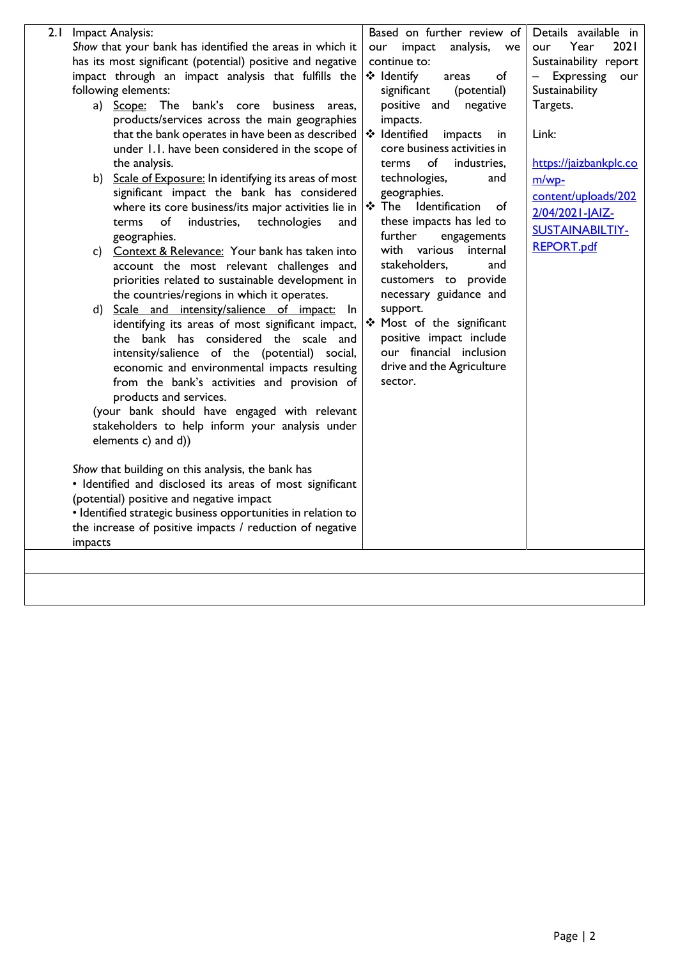| 2.1<br>Impact Analysis:<br>Show that your bank has identified the areas in which it<br>has its most significant (potential) positive and negative<br>impact through an impact analysis that fulfills the<br>following elements:<br>a) Scope: The bank's core business areas,<br>products/services across the main geographies<br>that the bank operates in have been as described $ \cdot \cdot $ Identified<br>under 1.1. have been considered in the scope of                                                                                                                                                                                                                                                                                                                                                                                                                                               | Based on further review of<br>impact<br>analysis, we<br>our<br>continue to:<br>❖ Identify<br>of<br>areas<br>significant<br>(potential)<br>positive and<br>negative<br>impacts.<br>impacts<br>in<br>core business activities in                                                                                                                                   | Details available in<br>2021<br>our<br>Year<br>Sustainability report<br>- Expressing<br>our<br>Sustainability<br>Targets.<br>Link: |
|---------------------------------------------------------------------------------------------------------------------------------------------------------------------------------------------------------------------------------------------------------------------------------------------------------------------------------------------------------------------------------------------------------------------------------------------------------------------------------------------------------------------------------------------------------------------------------------------------------------------------------------------------------------------------------------------------------------------------------------------------------------------------------------------------------------------------------------------------------------------------------------------------------------|------------------------------------------------------------------------------------------------------------------------------------------------------------------------------------------------------------------------------------------------------------------------------------------------------------------------------------------------------------------|------------------------------------------------------------------------------------------------------------------------------------|
| the analysis.<br>b) Scale of Exposure: In identifying its areas of most<br>significant impact the bank has considered<br>where its core business/its major activities lie in $ \mathbf{\hat{P}} $ The<br>technologies<br>of<br>industries,<br>terms<br>and<br>geographies.<br>c) Context & Relevance: Your bank has taken into<br>account the most relevant challenges and<br>priorities related to sustainable development in<br>the countries/regions in which it operates.<br>d) Scale and intensity/salience of impact: In<br>identifying its areas of most significant impact, $ \cdot\!\!\mathbf{\hat{v}}\>$ Most of the significant<br>the bank has considered the scale and<br>intensity/salience of the (potential) social,<br>economic and environmental impacts resulting<br>from the bank's activities and provision of<br>products and services.<br>(your bank should have engaged with relevant | of<br>industries.<br>terms<br>technologies,<br>and<br>geographies.<br>Identification<br>of<br>these impacts has led to<br>further<br>engagements<br>with various<br>internal<br>stakeholders,<br>and<br>customers to provide<br>necessary guidance and<br>support.<br>positive impact include<br>our financial inclusion<br>drive and the Agriculture<br>sector. | https://jaizbankplc.co<br>$m/wp-$<br>content/uploads/202<br>2/04/2021-JAIZ-<br><b>SUSTAINABILTIY-</b><br><b>REPORT.pdf</b>         |
| stakeholders to help inform your analysis under<br>elements c) and d))<br>Show that building on this analysis, the bank has                                                                                                                                                                                                                                                                                                                                                                                                                                                                                                                                                                                                                                                                                                                                                                                   |                                                                                                                                                                                                                                                                                                                                                                  |                                                                                                                                    |
| · Identified and disclosed its areas of most significant<br>(potential) positive and negative impact<br>· Identified strategic business opportunities in relation to<br>the increase of positive impacts / reduction of negative<br>impacts                                                                                                                                                                                                                                                                                                                                                                                                                                                                                                                                                                                                                                                                   |                                                                                                                                                                                                                                                                                                                                                                  |                                                                                                                                    |
|                                                                                                                                                                                                                                                                                                                                                                                                                                                                                                                                                                                                                                                                                                                                                                                                                                                                                                               |                                                                                                                                                                                                                                                                                                                                                                  |                                                                                                                                    |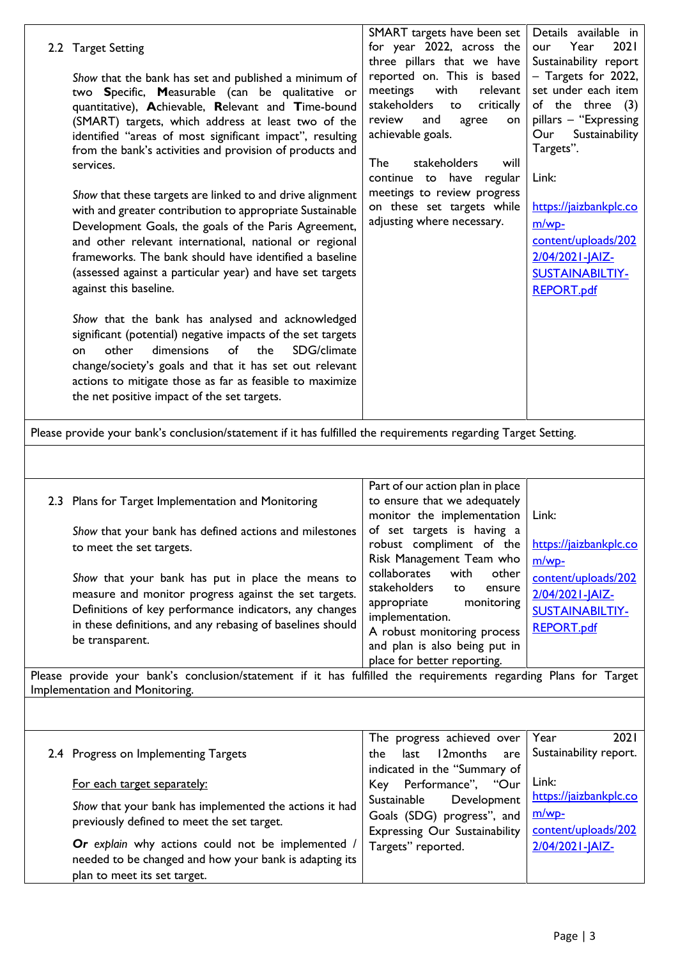| 2.2 Target Setting<br>Show that the bank has set and published a minimum of<br>two Specific, Measurable (can be qualitative or<br>quantitative), Achievable, Relevant and Time-bound<br>(SMART) targets, which address at least two of the<br>identified "areas of most significant impact", resulting<br>from the bank's activities and provision of products and<br>services.<br>Show that these targets are linked to and drive alignment<br>with and greater contribution to appropriate Sustainable<br>Development Goals, the goals of the Paris Agreement,<br>and other relevant international, national or regional<br>frameworks. The bank should have identified a baseline<br>(assessed against a particular year) and have set targets<br>against this baseline.<br>Show that the bank has analysed and acknowledged<br>significant (potential) negative impacts of the set targets<br>SDG/climate<br>other<br>dimensions<br>of<br>the<br>on<br>change/society's goals and that it has set out relevant<br>actions to mitigate those as far as feasible to maximize<br>the net positive impact of the set targets. | SMART targets have been set<br>for year 2022, across the<br>three pillars that we have<br>reported on. This is based<br>with<br>relevant<br>meetings<br>stakeholders<br>critically<br>to<br>review<br>and<br>agree<br>on<br>achievable goals.<br><b>The</b><br>stakeholders<br>will<br>continue to have regular<br>meetings to review progress<br>on these set targets while<br>adjusting where necessary. | Details available in<br>2021<br>Year<br>our<br>Sustainability report<br>- Targets for 2022,<br>set under each item<br>of the three (3)<br>pillars - "Expressing<br>Our<br>Sustainability<br>Targets".<br>Link:<br>https://jaizbankplc.co<br>$m/wp$ -<br>content/uploads/202<br>2/04/2021-JAIZ-<br><b>SUSTAINABILTIY-</b><br><b>REPORT.pdf</b> |
|-------------------------------------------------------------------------------------------------------------------------------------------------------------------------------------------------------------------------------------------------------------------------------------------------------------------------------------------------------------------------------------------------------------------------------------------------------------------------------------------------------------------------------------------------------------------------------------------------------------------------------------------------------------------------------------------------------------------------------------------------------------------------------------------------------------------------------------------------------------------------------------------------------------------------------------------------------------------------------------------------------------------------------------------------------------------------------------------------------------------------------|------------------------------------------------------------------------------------------------------------------------------------------------------------------------------------------------------------------------------------------------------------------------------------------------------------------------------------------------------------------------------------------------------------|-----------------------------------------------------------------------------------------------------------------------------------------------------------------------------------------------------------------------------------------------------------------------------------------------------------------------------------------------|
|                                                                                                                                                                                                                                                                                                                                                                                                                                                                                                                                                                                                                                                                                                                                                                                                                                                                                                                                                                                                                                                                                                                               |                                                                                                                                                                                                                                                                                                                                                                                                            |                                                                                                                                                                                                                                                                                                                                               |
| Please provide your bank's conclusion/statement if it has fulfilled the requirements regarding Target Setting.                                                                                                                                                                                                                                                                                                                                                                                                                                                                                                                                                                                                                                                                                                                                                                                                                                                                                                                                                                                                                |                                                                                                                                                                                                                                                                                                                                                                                                            |                                                                                                                                                                                                                                                                                                                                               |
|                                                                                                                                                                                                                                                                                                                                                                                                                                                                                                                                                                                                                                                                                                                                                                                                                                                                                                                                                                                                                                                                                                                               |                                                                                                                                                                                                                                                                                                                                                                                                            |                                                                                                                                                                                                                                                                                                                                               |
| 2.3 Plans for Target Implementation and Monitoring<br>Show that your bank has defined actions and milestones<br>to meet the set targets.<br>Show that your bank has put in place the means to                                                                                                                                                                                                                                                                                                                                                                                                                                                                                                                                                                                                                                                                                                                                                                                                                                                                                                                                 | Part of our action plan in place<br>to ensure that we adequately<br>monitor the implementation<br>of set targets is having a<br>robust compliment of the<br>Risk Management Team who<br>collaborates<br>other<br>with                                                                                                                                                                                      | Link:<br>https://jaizbankplc.co<br>$m/wp-$<br>content/uploads/202                                                                                                                                                                                                                                                                             |
| measure and monitor progress against the set targets.<br>Definitions of key performance indicators, any changes<br>in these definitions, and any rebasing of baselines should<br>be transparent.                                                                                                                                                                                                                                                                                                                                                                                                                                                                                                                                                                                                                                                                                                                                                                                                                                                                                                                              | stakeholders<br>ensure<br>to<br>appropriate<br>monitoring<br>implementation.<br>A robust monitoring process<br>and plan is also being put in<br>place for better reporting.                                                                                                                                                                                                                                | 2/04/2021-JAIZ-<br><b>SUSTAINABILTIY-</b><br><b>REPORT.pdf</b>                                                                                                                                                                                                                                                                                |
| Please provide your bank's conclusion/statement if it has fulfilled the requirements regarding Plans for Target<br><b>Implementation and Monitoring.</b>                                                                                                                                                                                                                                                                                                                                                                                                                                                                                                                                                                                                                                                                                                                                                                                                                                                                                                                                                                      |                                                                                                                                                                                                                                                                                                                                                                                                            |                                                                                                                                                                                                                                                                                                                                               |
|                                                                                                                                                                                                                                                                                                                                                                                                                                                                                                                                                                                                                                                                                                                                                                                                                                                                                                                                                                                                                                                                                                                               |                                                                                                                                                                                                                                                                                                                                                                                                            |                                                                                                                                                                                                                                                                                                                                               |
| 2.4 Progress on Implementing Targets                                                                                                                                                                                                                                                                                                                                                                                                                                                                                                                                                                                                                                                                                                                                                                                                                                                                                                                                                                                                                                                                                          | The progress achieved over<br>last<br>12months<br>the<br>are<br>indicated in the "Summary of                                                                                                                                                                                                                                                                                                               | 2021<br>Year<br>Sustainability report.                                                                                                                                                                                                                                                                                                        |
| For each target separately:                                                                                                                                                                                                                                                                                                                                                                                                                                                                                                                                                                                                                                                                                                                                                                                                                                                                                                                                                                                                                                                                                                   | Performance", "Our<br>Key                                                                                                                                                                                                                                                                                                                                                                                  | Link:<br>https://jaizbankplc.co                                                                                                                                                                                                                                                                                                               |
| Show that your bank has implemented the actions it had<br>previously defined to meet the set target.                                                                                                                                                                                                                                                                                                                                                                                                                                                                                                                                                                                                                                                                                                                                                                                                                                                                                                                                                                                                                          | Sustainable<br>Development<br>Goals (SDG) progress", and<br><b>Expressing Our Sustainability</b>                                                                                                                                                                                                                                                                                                           | $m/wp-$<br>content/uploads/202                                                                                                                                                                                                                                                                                                                |
| Or explain why actions could not be implemented /<br>needed to be changed and how your bank is adapting its<br>plan to meet its set target.                                                                                                                                                                                                                                                                                                                                                                                                                                                                                                                                                                                                                                                                                                                                                                                                                                                                                                                                                                                   | Targets" reported.                                                                                                                                                                                                                                                                                                                                                                                         | 2/04/2021-JAIZ-                                                                                                                                                                                                                                                                                                                               |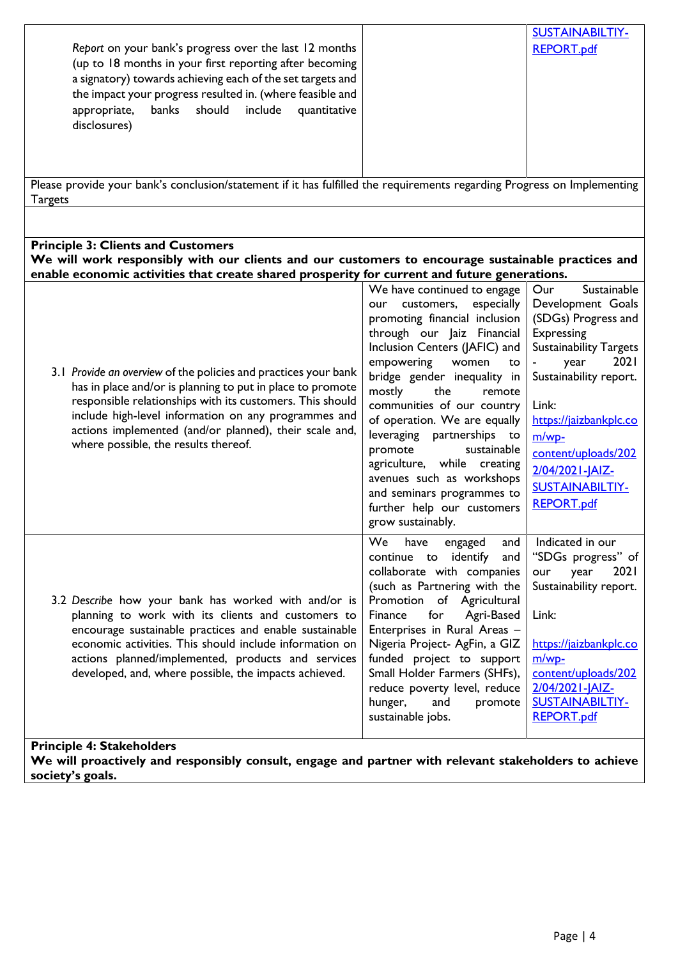| Please provide your bank's conclusion/statement if it has fulfilled the requirements regarding Progress on Implementing                                                                                                                                                                                                                                                                                                                                                                                                                                                                                                                                                                                                                                      |
|--------------------------------------------------------------------------------------------------------------------------------------------------------------------------------------------------------------------------------------------------------------------------------------------------------------------------------------------------------------------------------------------------------------------------------------------------------------------------------------------------------------------------------------------------------------------------------------------------------------------------------------------------------------------------------------------------------------------------------------------------------------|
| We will work responsibly with our clients and our customers to encourage sustainable practices and<br>enable economic activities that create shared prosperity for current and future generations.                                                                                                                                                                                                                                                                                                                                                                                                                                                                                                                                                           |
| Sustainable<br>We have continued to engage<br>Our<br>Development Goals<br>customers,<br>especially<br>promoting financial inclusion<br>(SDGs) Progress and<br><b>Expressing</b><br>through our Jaiz Financial<br>Inclusion Centers (JAFIC) and<br><b>Sustainability Targets</b><br>2021<br>year<br>women<br>to<br>bridge gender inequality in<br>Sustainability report.<br>remote<br>communities of our country<br>Link:<br>of operation. We are equally<br>https://jaizbankplc.co<br>leveraging partnerships to<br>$m/wp$ -<br>sustainable<br>content/uploads/202<br>agriculture, while creating<br>2/04/2021-JAIZ-<br>avenues such as workshops<br><b>SUSTAINABILTIY-</b><br>and seminars programmes to<br><b>REPORT.pdf</b><br>further help our customers |
| Indicated in our<br>engaged<br>and<br>identify<br>"SDGs progress" of<br>and<br>collaborate with companies<br>year<br>2021<br>our<br>(such as Partnering with the<br>Sustainability report.<br>Promotion of Agricultural<br>Agri-Based<br>Link:<br>Enterprises in Rural Areas -<br>Nigeria Project- AgFin, a GIZ<br>https://jaizbankplc.co<br>$m/wp$ -<br>funded project to support<br>Small Holder Farmers (SHFs),<br>content/uploads/202<br>reduce poverty level, reduce<br>2/04/2021-JAIZ-<br><b>SUSTAINABILTIY-</b><br>promote<br><b>REPORT.pdf</b>                                                                                                                                                                                                       |
| We will proactively and responsibly consult, engage and partner with relevant stakeholders to achieve                                                                                                                                                                                                                                                                                                                                                                                                                                                                                                                                                                                                                                                        |

**We will proactively and responsibly consult, engage and partner with relevant stakeholders to achieve society's goals.**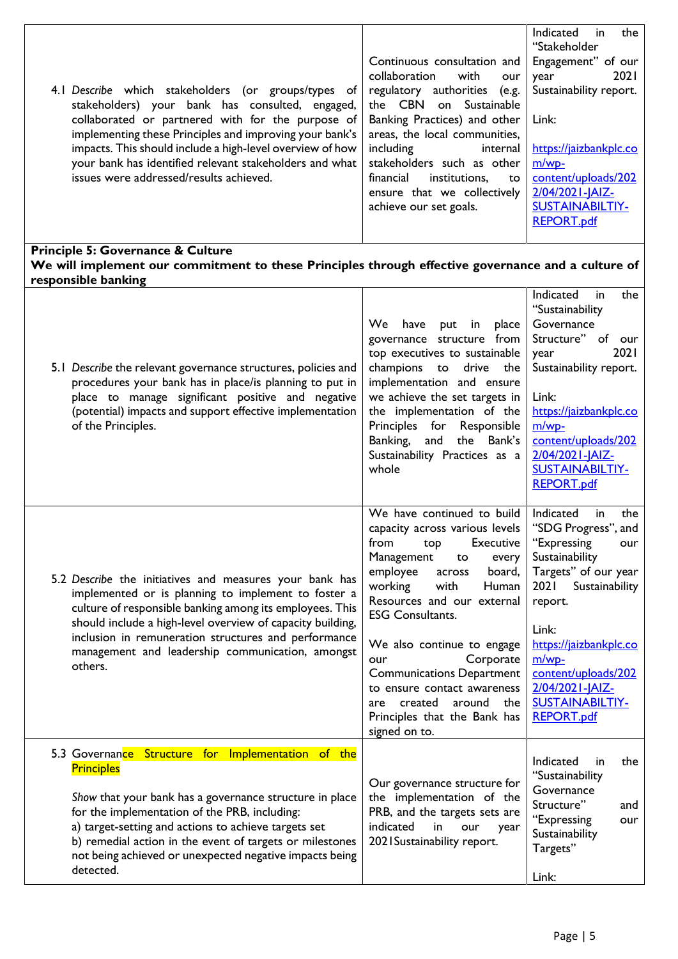| 4.1 Describe which stakeholders (or groups/types of<br>stakeholders) your bank has consulted, engaged,<br>collaborated or partnered with for the purpose of<br>implementing these Principles and improving your bank's<br>impacts. This should include a high-level overview of how<br>your bank has identified relevant stakeholders and what<br>issues were addressed/results achieved.<br>Principle 5: Governance & Culture | Continuous consultation and<br>collaboration<br>with<br>our<br>regulatory authorities<br>(e.g.<br>the CBN on<br>Sustainable<br>Banking Practices) and other<br>areas, the local communities,<br>including<br>internal<br>stakeholders such as other<br>financial<br>institutions,<br>to<br>ensure that we collectively<br>achieve our set goals.                                                                                                           | Indicated<br>the<br>in<br>"Stakeholder<br>Engagement" of our<br>2021<br>year<br>Sustainability report.<br>Link:<br>https://jaizbankplc.co<br>$m/wp$ -<br>content/uploads/202<br>2/04/2021-JAIZ-<br><b>SUSTAINABILTIY-</b><br><b>REPORT.pdf</b>                                             |
|--------------------------------------------------------------------------------------------------------------------------------------------------------------------------------------------------------------------------------------------------------------------------------------------------------------------------------------------------------------------------------------------------------------------------------|------------------------------------------------------------------------------------------------------------------------------------------------------------------------------------------------------------------------------------------------------------------------------------------------------------------------------------------------------------------------------------------------------------------------------------------------------------|--------------------------------------------------------------------------------------------------------------------------------------------------------------------------------------------------------------------------------------------------------------------------------------------|
| We will implement our commitment to these Principles through effective governance and a culture of<br>responsible banking                                                                                                                                                                                                                                                                                                      |                                                                                                                                                                                                                                                                                                                                                                                                                                                            |                                                                                                                                                                                                                                                                                            |
| 5.1 Describe the relevant governance structures, policies and<br>procedures your bank has in place/is planning to put in<br>place to manage significant positive and negative<br>(potential) impacts and support effective implementation<br>of the Principles.                                                                                                                                                                | We<br>place<br>have<br>put<br>$\mathsf{in}$<br>governance structure from<br>top executives to sustainable<br>champions to drive the<br>implementation and ensure<br>we achieve the set targets in<br>the implementation of the<br>Principles for<br>Responsible<br>Banking,<br>and<br>the Bank's<br>Sustainability Practices as a<br>whole                                                                                                                 | Indicated<br>the<br>in<br>"Sustainability<br>Governance<br>Structure" of our<br>2021<br>year<br>Sustainability report.<br>Link:<br>https://jaizbankplc.co<br>$m/wp$ -<br>content/uploads/202<br>2/04/2021-JAIZ-<br><b>SUSTAINABILTIY-</b><br>REPORT.pdf                                    |
| 5.2 Describe the initiatives and measures your bank has<br>implemented or is planning to implement to foster a<br>culture of responsible banking among its employees. This<br>should include a high-level overview of capacity building,<br>inclusion in remuneration structures and performance<br>management and leadership communication, amongst<br>others.                                                                | We have continued to build<br>capacity across various levels<br>from<br><b>Executive</b><br>top<br>Management<br>every<br>to<br>employee<br>board,<br>across<br>working<br>with<br>Human<br>Resources and our external<br><b>ESG Consultants.</b><br>We also continue to engage<br>Corporate<br>our<br><b>Communications Department</b><br>to ensure contact awareness<br>created<br>around<br>the<br>are<br>Principles that the Bank has<br>signed on to. | Indicated<br>the<br>in<br>"SDG Progress", and<br>'Expressing<br>our<br>Sustainability<br>Targets" of our year<br>Sustainability<br>2021<br>report.<br>Link:<br>https://jaizbankplc.co<br>$m/wp$ -<br>content/uploads/202<br>2/04/2021-JAIZ-<br><b>SUSTAINABILTIY-</b><br><b>REPORT.pdf</b> |
| Implementation of the<br>5.3 Governance Structure for<br><b>Principles</b><br>Show that your bank has a governance structure in place<br>for the implementation of the PRB, including:<br>a) target-setting and actions to achieve targets set<br>b) remedial action in the event of targets or milestones<br>not being achieved or unexpected negative impacts being<br>detected.                                             | Our governance structure for<br>the implementation of the<br>PRB, and the targets sets are<br>indicated<br>in<br>our<br>year<br>2021 Sustainability report.                                                                                                                                                                                                                                                                                                | Indicated<br>the<br>in<br>"Sustainability<br>Governance<br>Structure"<br>and<br>"Expressing<br>our<br>Sustainability<br>Targets"<br>Link:                                                                                                                                                  |